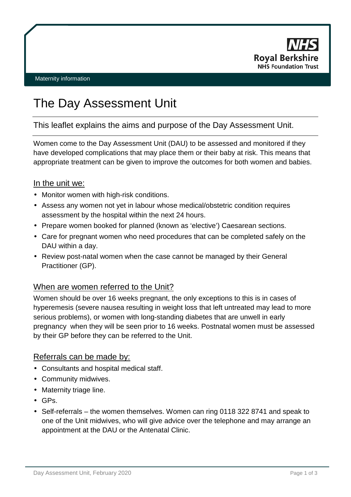

# The Day Assessment Unit

This leaflet explains the aims and purpose of the Day Assessment Unit.

Women come to the Day Assessment Unit (DAU) to be assessed and monitored if they have developed complications that may place them or their baby at risk. This means that appropriate treatment can be given to improve the outcomes for both women and babies.

## In the unit we:

- Monitor women with high-risk conditions.
- Assess any women not yet in labour whose medical/obstetric condition requires assessment by the hospital within the next 24 hours.
- Prepare women booked for planned (known as 'elective') Caesarean sections.
- Care for pregnant women who need procedures that can be completed safely on the DAU within a day.
- Review post-natal women when the case cannot be managed by their General Practitioner (GP).

# When are women referred to the Unit?

Women should be over 16 weeks pregnant, the only exceptions to this is in cases of hyperemesis (severe nausea resulting in weight loss that left untreated may lead to more serious problems), or women with long-standing diabetes that are unwell in early pregnancy when they will be seen prior to 16 weeks. Postnatal women must be assessed by their GP before they can be referred to the Unit.

#### Referrals can be made by:

- Consultants and hospital medical staff.
- Community midwives.
- Maternity triage line.
- GPs.
- Self-referrals the women themselves. Women can ring 0118 322 8741 and speak to one of the Unit midwives, who will give advice over the telephone and may arrange an appointment at the DAU or the Antenatal Clinic.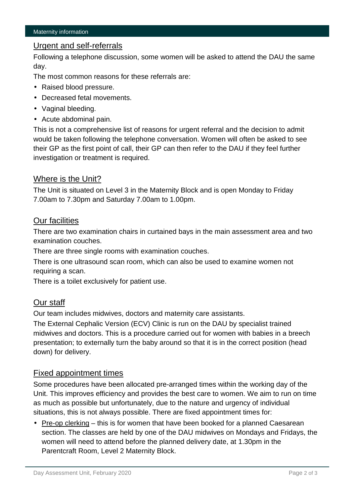## Urgent and self-referrals

Following a telephone discussion, some women will be asked to attend the DAU the same day.

The most common reasons for these referrals are:

- Raised blood pressure.
- Decreased fetal movements.
- Vaginal bleeding.
- Acute abdominal pain.

This is not a comprehensive list of reasons for urgent referral and the decision to admit would be taken following the telephone conversation. Women will often be asked to see their GP as the first point of call, their GP can then refer to the DAU if they feel further investigation or treatment is required.

## Where is the Unit?

The Unit is situated on Level 3 in the Maternity Block and is open Monday to Friday 7.00am to 7.30pm and Saturday 7.00am to 1.00pm.

#### Our facilities

There are two examination chairs in curtained bays in the main assessment area and two examination couches.

There are three single rooms with examination couches.

There is one ultrasound scan room, which can also be used to examine women not requiring a scan.

There is a toilet exclusively for patient use.

# Our staff

Our team includes midwives, doctors and maternity care assistants.

The External Cephalic Version (ECV) Clinic is run on the DAU by specialist trained midwives and doctors. This is a procedure carried out for women with babies in a breech presentation; to externally turn the baby around so that it is in the correct position (head down) for delivery.

#### Fixed appointment times

Some procedures have been allocated pre-arranged times within the working day of the Unit. This improves efficiency and provides the best care to women. We aim to run on time as much as possible but unfortunately, due to the nature and urgency of individual situations, this is not always possible. There are fixed appointment times for:

Pre-op clerking – this is for women that have been booked for a planned Caesarean section. The classes are held by one of the DAU midwives on Mondays and Fridays, the women will need to attend before the planned delivery date, at 1.30pm in the Parentcraft Room, Level 2 Maternity Block.